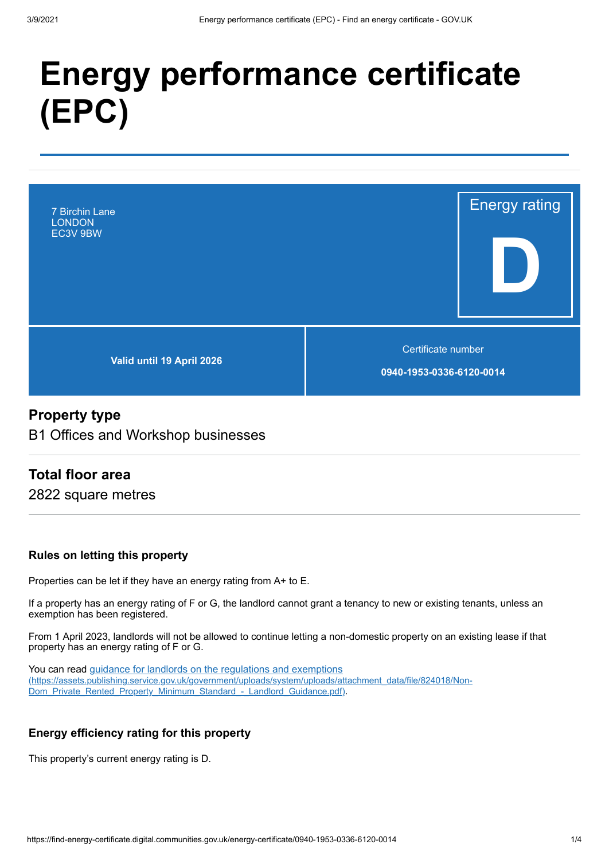# **Energy performance certificate (EPC)**



# **Property type**

B1 Offices and Workshop businesses

## **Total floor area**

2822 square metres

#### **Rules on letting this property**

Properties can be let if they have an energy rating from A+ to E.

If a property has an energy rating of F or G, the landlord cannot grant a tenancy to new or existing tenants, unless an exemption has been registered.

From 1 April 2023, landlords will not be allowed to continue letting a non-domestic property on an existing lease if that property has an energy rating of F or G.

You can read guidance for landlords on the regulations and exemptions [\(https://assets.publishing.service.gov.uk/government/uploads/system/uploads/attachment\\_data/file/824018/Non-](https://assets.publishing.service.gov.uk/government/uploads/system/uploads/attachment_data/file/824018/Non-Dom_Private_Rented_Property_Minimum_Standard_-_Landlord_Guidance.pdf)Dom\_Private\_Rented\_Property\_Minimum\_Standard\_-\_Landlord\_Guidance.pdf).

#### **Energy efficiency rating for this property**

This property's current energy rating is D.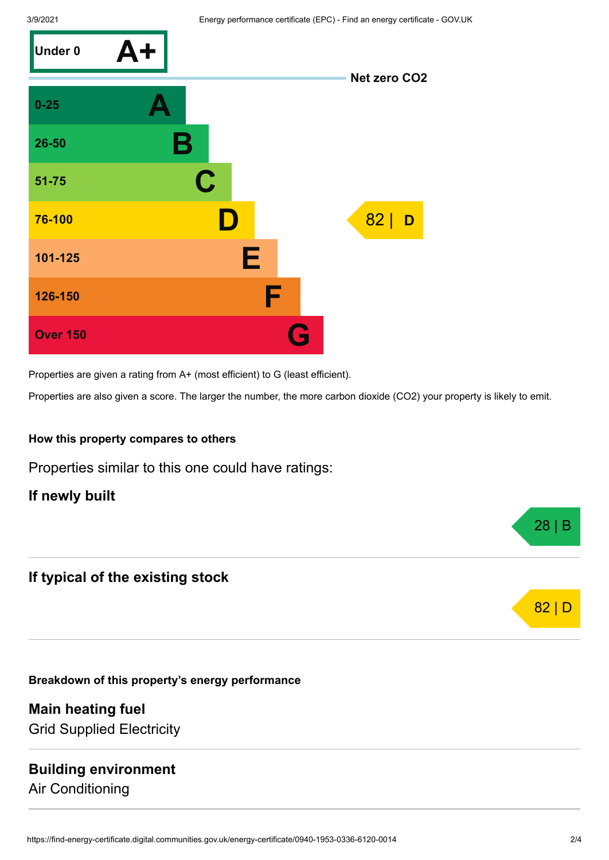

Properties are given a rating from A+ (most efficient) to G (least efficient).

Properties are also given a score. The larger the number, the more carbon dioxide (CO2) your property is likely to emit.

#### **How this property compares to others**

Properties similar to this one could have ratings:

**If newly built**

## **If typical of the existing stock**

**Breakdown of this property's energy performance**

**Main heating fuel** Grid Supplied Electricity

# **Building environment**

Air Conditioning



28 | B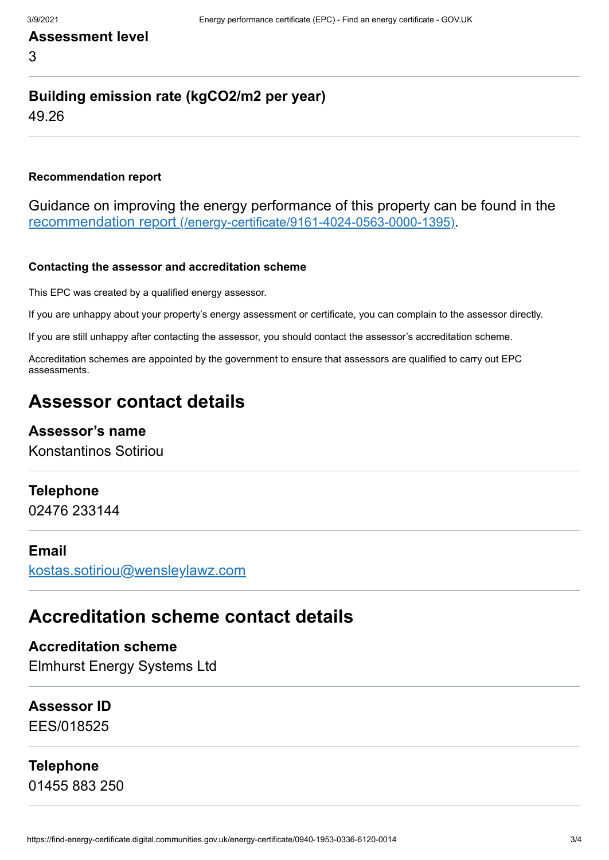# **Assessment level** 3

# **Building emission rate (kgCO2/m2 per year)**

49.26

#### **Recommendation report**

Guidance on improving the energy performance of this property can be found in the recommendation report [\(/energy-certificate/9161-4024-0563-0000-1395\)](https://find-energy-certificate.digital.communities.gov.uk/energy-certificate/9161-4024-0563-0000-1395).

#### **Contacting the assessor and accreditation scheme**

This EPC was created by a qualified energy assessor.

If you are unhappy about your property's energy assessment or certificate, you can complain to the assessor directly.

If you are still unhappy after contacting the assessor, you should contact the assessor's accreditation scheme.

Accreditation schemes are appointed by the government to ensure that assessors are qualified to carry out EPC assessments.

# **Assessor contact details**

#### **Assessor's name**

Konstantinos Sotiriou

#### **Telephone**

02476 233144

#### **Email**

[kostas.sotiriou@wensleylawz.com](mailto:kostas.sotiriou@wensleylawz.com)

# **Accreditation scheme contact details**

**Accreditation scheme** Elmhurst Energy Systems Ltd

**Assessor ID** EES/018525

**Telephone** 01455 883 250